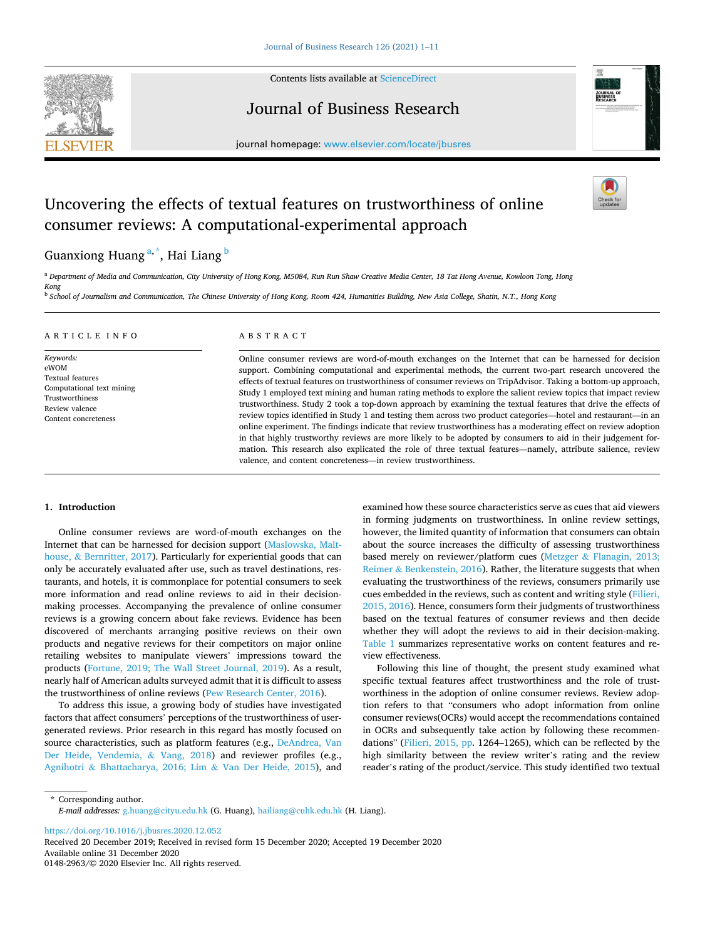

Contents lists available at [ScienceDirect](www.sciencedirect.com/science/journal/01482963)

Journal of Business Research



journal homepage: [www.elsevier.com/locate/jbusres](https://www.elsevier.com/locate/jbusres)

# Uncovering the effects of textual features on trustworthiness of online consumer reviews: A computational-experimental approach



## Guanxiong Huang<sup>a,\*</sup>, Hai Liang <sup>b</sup>

<sup>a</sup> *Department of Media and Communication, City University of Hong Kong, M5084, Run Run Shaw Creative Media Center, 18 Tat Hong Avenue, Kowloon Tong, Hong Kong* 

<sup>b</sup> *School of Journalism and Communication, The Chinese University of Hong Kong, Room 424, Humanities Building, New Asia College, Shatin, N.T., Hong Kong* 

## ARTICLE INFO

*Keywords:*  eWOM Textual features Computational text mining Trustworthiness Review valence Content concreteness

## ABSTRACT

Online consumer reviews are word-of-mouth exchanges on the Internet that can be harnessed for decision support. Combining computational and experimental methods, the current two-part research uncovered the effects of textual features on trustworthiness of consumer reviews on TripAdvisor. Taking a bottom-up approach, Study 1 employed text mining and human rating methods to explore the salient review topics that impact review trustworthiness. Study 2 took a top-down approach by examining the textual features that drive the effects of review topics identified in Study 1 and testing them across two product categories—hotel and restaurant—in an online experiment. The findings indicate that review trustworthiness has a moderating effect on review adoption in that highly trustworthy reviews are more likely to be adopted by consumers to aid in their judgement formation. This research also explicated the role of three textual features—namely, attribute salience, review valence, and content concreteness—in review trustworthiness.

## **1. Introduction**

Online consumer reviews are word-of-mouth exchanges on the Internet that can be harnessed for decision support [\(Maslowska, Malt](#page-10-0)house, & [Bernritter, 2017\)](#page-10-0). Particularly for experiential goods that can only be accurately evaluated after use, such as travel destinations, restaurants, and hotels, it is commonplace for potential consumers to seek more information and read online reviews to aid in their decisionmaking processes. Accompanying the prevalence of online consumer reviews is a growing concern about fake reviews. Evidence has been discovered of merchants arranging positive reviews on their own products and negative reviews for their competitors on major online retailing websites to manipulate viewers' impressions toward the products [\(Fortune, 2019; The Wall Street Journal, 2019\)](#page-10-0). As a result, nearly half of American adults surveyed admit that it is difficult to assess the trustworthiness of online reviews [\(Pew Research Center, 2016](#page-10-0)).

To address this issue, a growing body of studies have investigated factors that affect consumers' perceptions of the trustworthiness of usergenerated reviews. Prior research in this regard has mostly focused on source characteristics, such as platform features (e.g., [DeAndrea, Van](#page-9-0)  [Der Heide, Vendemia,](#page-9-0) & Vang, 2018) and reviewer profiles (e.g., Agnihotri & [Bhattacharya, 2016; Lim](#page-9-0) & Van Der Heide, 2015), and examined how these source characteristics serve as cues that aid viewers in forming judgments on trustworthiness. In online review settings, however, the limited quantity of information that consumers can obtain about the source increases the difficulty of assessing trustworthiness based merely on reviewer/platform cues (Metzger & [Flanagin, 2013;](#page-10-0)  Reimer & [Benkenstein, 2016](#page-10-0)). Rather, the literature suggests that when evaluating the trustworthiness of the reviews, consumers primarily use cues embedded in the reviews, such as content and writing style ([Filieri,](#page-9-0)  [2015, 2016\)](#page-9-0). Hence, consumers form their judgments of trustworthiness based on the textual features of consumer reviews and then decide whether they will adopt the reviews to aid in their decision-making. [Table 1](#page-1-0) summarizes representative works on content features and review effectiveness.

Following this line of thought, the present study examined what specific textual features affect trustworthiness and the role of trustworthiness in the adoption of online consumer reviews. Review adoption refers to that "consumers who adopt information from online consumer reviews(OCRs) would accept the recommendations contained in OCRs and subsequently take action by following these recommendations" ([Filieri, 2015, pp](#page-9-0). 1264–1265), which can be reflected by the high similarity between the review writer's rating and the review reader's rating of the product/service. This study identified two textual

\* Corresponding author. *E-mail addresses:* [g.huang@cityu.edu.hk](mailto:g.huang@cityu.edu.hk) (G. Huang), [hailiang@cuhk.edu.hk](mailto:hailiang@cuhk.edu.hk) (H. Liang).

<https://doi.org/10.1016/j.jbusres.2020.12.052>

Available online 31 December 2020 0148-2963/© 2020 Elsevier Inc. All rights reserved. Received 20 December 2019; Received in revised form 15 December 2020; Accepted 19 December 2020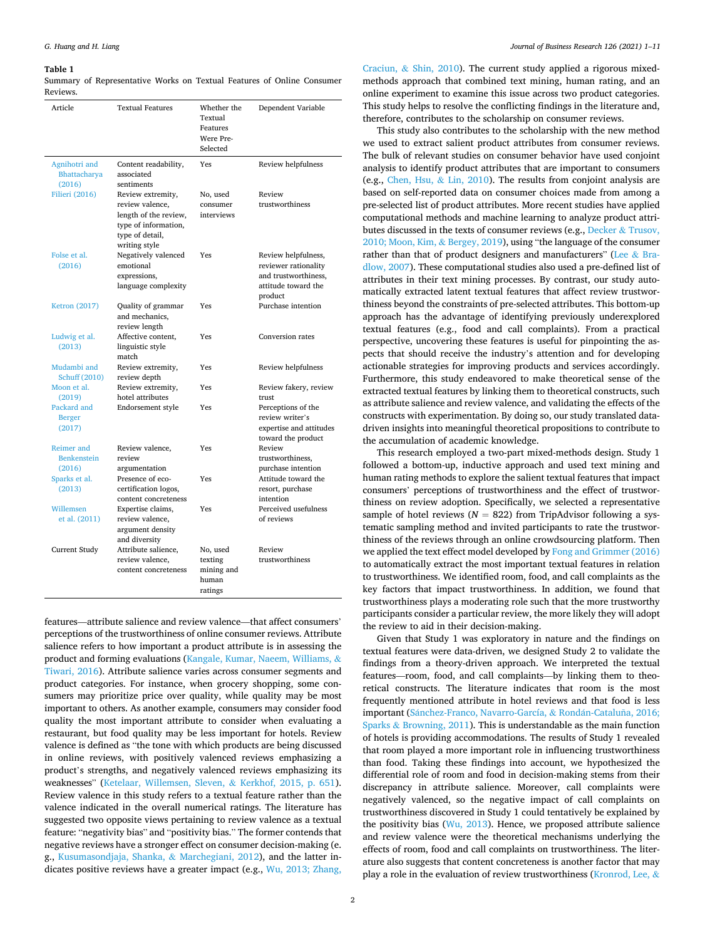#### <span id="page-1-0"></span>**Table 1**

Summary of Representative Works on Textual Features of Online Consumer Reviews.

| Article                                 | <b>Textual Features</b>                                                                                                   | Whether the<br>Textual<br>Features<br>Were Pre-<br>Selected | Dependent Variable                                                                                    |
|-----------------------------------------|---------------------------------------------------------------------------------------------------------------------------|-------------------------------------------------------------|-------------------------------------------------------------------------------------------------------|
| Agnihotri and<br>Bhattacharya<br>(2016) | Content readability,<br>associated<br>sentiments                                                                          | Yes                                                         | Review helpfulness                                                                                    |
| Filieri (2016)                          | Review extremity,<br>review valence,<br>length of the review,<br>type of information,<br>type of detail,<br>writing style | No, used<br>consumer<br>interviews                          | Review<br>trustworthiness                                                                             |
| Folse et al.<br>(2016)                  | Negatively valenced<br>emotional<br>expressions,<br>language complexity                                                   | Yes                                                         | Review helpfulness,<br>reviewer rationality<br>and trustworthiness.<br>attitude toward the<br>product |
| <b>Ketron</b> (2017)                    | Quality of grammar<br>and mechanics,<br>review length                                                                     | Yes                                                         | Purchase intention                                                                                    |
| Ludwig et al.<br>(2013)                 | Affective content,<br>linguistic style<br>match                                                                           | Yes                                                         | Conversion rates                                                                                      |
| Mudambi and<br>Schuff (2010)            | Review extremity,<br>review depth                                                                                         | Yes                                                         | Review helpfulness                                                                                    |
| Moon et al.<br>(2019)                   | Review extremity,<br>hotel attributes                                                                                     | Yes                                                         | Review fakery, review<br>trust                                                                        |
| Packard and<br><b>Berger</b><br>(2017)  | Endorsement style                                                                                                         | Yes                                                         | Perceptions of the<br>review writer's<br>expertise and attitudes<br>toward the product                |
| Reimer and<br><b>Benkenstein</b>        | Review valence,<br>review                                                                                                 | Yes                                                         | Review<br>trustworthiness,                                                                            |
| (2016)<br>Sparks et al.<br>(2013)       | argumentation<br>Presence of eco-<br>certification logos,<br>content concreteness                                         | Yes                                                         | purchase intention<br>Attitude toward the<br>resort, purchase<br>intention                            |
| Willemsen<br>et al. (2011)              | Expertise claims,<br>review valence,<br>argument density<br>and diversity                                                 | Yes                                                         | Perceived usefulness<br>of reviews                                                                    |
| Current Study                           | Attribute salience,<br>review valence,<br>content concreteness                                                            | No, used<br>texting<br>mining and<br>human<br>ratings       | Review<br>trustworthiness                                                                             |

features—attribute salience and review valence—that affect consumers' perceptions of the trustworthiness of online consumer reviews. Attribute salience refers to how important a product attribute is in assessing the product and forming evaluations ([Kangale, Kumar, Naeem, Williams,](#page-9-0) & [Tiwari, 2016](#page-9-0)). Attribute salience varies across consumer segments and product categories. For instance, when grocery shopping, some consumers may prioritize price over quality, while quality may be most important to others. As another example, consumers may consider food quality the most important attribute to consider when evaluating a restaurant, but food quality may be less important for hotels. Review valence is defined as "the tone with which products are being discussed in online reviews, with positively valenced reviews emphasizing a product's strengths, and negatively valenced reviews emphasizing its weaknesses" ([Ketelaar, Willemsen, Sleven,](#page-10-0) & Kerkhof, 2015, p. 651). Review valence in this study refers to a textual feature rather than the valence indicated in the overall numerical ratings. The literature has suggested two opposite views pertaining to review valence as a textual feature: "negativity bias" and "positivity bias." The former contends that negative reviews have a stronger effect on consumer decision-making (e. g., [Kusumasondjaja, Shanka,](#page-10-0) & Marchegiani, 2012), and the latter indicates positive reviews have a greater impact (e.g., [Wu, 2013; Zhang,](#page-10-0) 

Craciun, & [Shin, 2010\)](#page-10-0). The current study applied a rigorous mixedmethods approach that combined text mining, human rating, and an online experiment to examine this issue across two product categories. This study helps to resolve the conflicting findings in the literature and, therefore, contributes to the scholarship on consumer reviews.

This study also contributes to the scholarship with the new method we used to extract salient product attributes from consumer reviews. The bulk of relevant studies on consumer behavior have used conjoint analysis to identify product attributes that are important to consumers (e.g., [Chen, Hsu,](#page-9-0) & Lin, 2010). The results from conjoint analysis are based on self-reported data on consumer choices made from among a pre-selected list of product attributes. More recent studies have applied computational methods and machine learning to analyze product attributes discussed in the texts of consumer reviews (e.g., Decker & [Trusov,](#page-9-0)  [2010; Moon, Kim,](#page-9-0) & Bergey, 2019), using "the language of the consumer rather than that of product designers and manufacturers" (Lee & [Bra](#page-10-0)[dlow, 2007](#page-10-0)). These computational studies also used a pre-defined list of attributes in their text mining processes. By contrast, our study automatically extracted latent textual features that affect review trustworthiness beyond the constraints of pre-selected attributes. This bottom-up approach has the advantage of identifying previously underexplored textual features (e.g., food and call complaints). From a practical perspective, uncovering these features is useful for pinpointing the aspects that should receive the industry's attention and for developing actionable strategies for improving products and services accordingly. Furthermore, this study endeavored to make theoretical sense of the extracted textual features by linking them to theoretical constructs, such as attribute salience and review valence, and validating the effects of the constructs with experimentation. By doing so, our study translated datadriven insights into meaningful theoretical propositions to contribute to the accumulation of academic knowledge.

This research employed a two-part mixed-methods design. Study 1 followed a bottom-up, inductive approach and used text mining and human rating methods to explore the salient textual features that impact consumers' perceptions of trustworthiness and the effect of trustworthiness on review adoption. Specifically, we selected a representative sample of hotel reviews ( $N = 822$ ) from TripAdvisor following a systematic sampling method and invited participants to rate the trustworthiness of the reviews through an online crowdsourcing platform. Then we applied the text effect model developed by [Fong and Grimmer \(2016\)](#page-9-0)  to automatically extract the most important textual features in relation to trustworthiness. We identified room, food, and call complaints as the key factors that impact trustworthiness. In addition, we found that trustworthiness plays a moderating role such that the more trustworthy participants consider a particular review, the more likely they will adopt the review to aid in their decision-making.

Given that Study 1 was exploratory in nature and the findings on textual features were data-driven, we designed Study 2 to validate the findings from a theory-driven approach. We interpreted the textual features—room, food, and call complaints—by linking them to theoretical constructs. The literature indicates that room is the most frequently mentioned attribute in hotel reviews and that food is less important (Sánchez-Franco, Navarro-García, & Rondán-Cataluña, 2016; Sparks  $&$  [Browning, 2011\)](#page-10-0). This is understandable as the main function of hotels is providing accommodations. The results of Study 1 revealed that room played a more important role in influencing trustworthiness than food. Taking these findings into account, we hypothesized the differential role of room and food in decision-making stems from their discrepancy in attribute salience. Moreover, call complaints were negatively valenced, so the negative impact of call complaints on trustworthiness discovered in Study 1 could tentatively be explained by the positivity bias ( $Wu$ , 2013). Hence, we proposed attribute salience and review valence were the theoretical mechanisms underlying the effects of room, food and call complaints on trustworthiness. The literature also suggests that content concreteness is another factor that may play a role in the evaluation of review trustworthiness ([Kronrod, Lee,](#page-10-0) &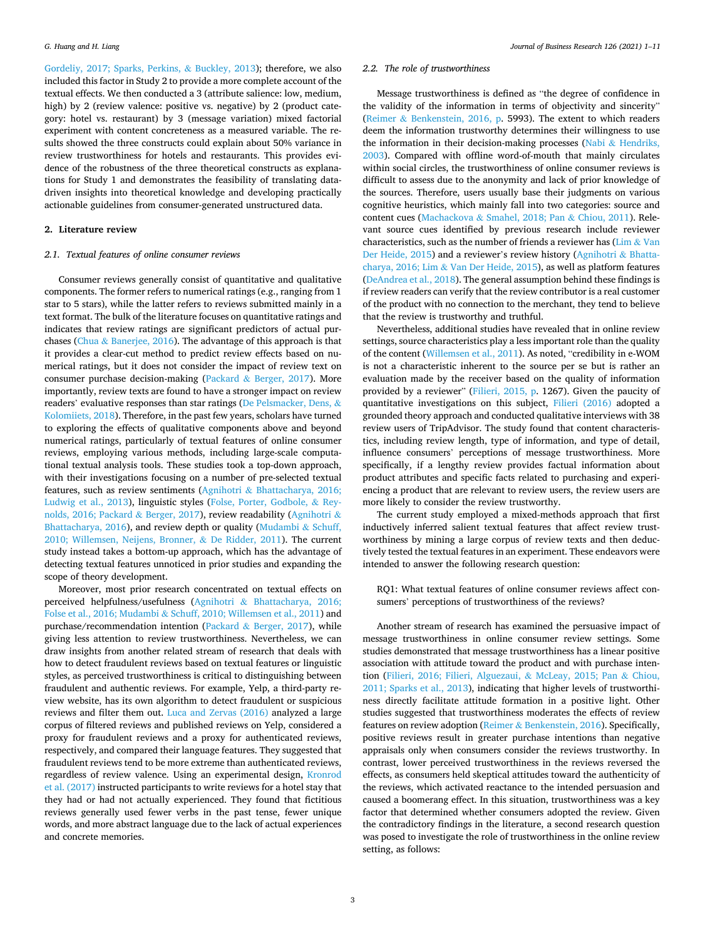[Gordeliy, 2017; Sparks, Perkins,](#page-10-0) & Buckley, 2013); therefore, we also included this factor in Study 2 to provide a more complete account of the textual effects. We then conducted a 3 (attribute salience: low, medium, high) by 2 (review valence: positive vs. negative) by 2 (product category: hotel vs. restaurant) by 3 (message variation) mixed factorial experiment with content concreteness as a measured variable. The results showed the three constructs could explain about 50% variance in review trustworthiness for hotels and restaurants. This provides evidence of the robustness of the three theoretical constructs as explanations for Study 1 and demonstrates the feasibility of translating datadriven insights into theoretical knowledge and developing practically actionable guidelines from consumer-generated unstructured data.

### **2. Literature review**

#### *2.1. Textual features of online consumer reviews*

Consumer reviews generally consist of quantitative and qualitative components. The former refers to numerical ratings (e.g., ranging from 1 star to 5 stars), while the latter refers to reviews submitted mainly in a text format. The bulk of the literature focuses on quantitative ratings and indicates that review ratings are significant predictors of actual purchases (Chua & [Banerjee, 2016\)](#page-9-0). The advantage of this approach is that it provides a clear-cut method to predict review effects based on numerical ratings, but it does not consider the impact of review text on consumer purchase decision-making (Packard & [Berger, 2017\)](#page-10-0). More importantly, review texts are found to have a stronger impact on review readers' evaluative responses than star ratings [\(De Pelsmacker, Dens,](#page-9-0) & [Kolomiiets, 2018](#page-9-0)). Therefore, in the past few years, scholars have turned to exploring the effects of qualitative components above and beyond numerical ratings, particularly of textual features of online consumer reviews, employing various methods, including large-scale computational textual analysis tools. These studies took a top-down approach, with their investigations focusing on a number of pre-selected textual features, such as review sentiments (Agnihotri & [Bhattacharya, 2016;](#page-9-0)  [Ludwig et al., 2013\)](#page-9-0), linguistic styles [\(Folse, Porter, Godbole,](#page-9-0) & Rey[nolds, 2016; Packard](#page-9-0) & Berger, 2017), review readability [\(Agnihotri](#page-9-0) & [Bhattacharya, 2016\)](#page-9-0), and review depth or quality [\(Mudambi](#page-10-0) & Schuff, [2010; Willemsen, Neijens, Bronner,](#page-10-0) & De Ridder, 2011). The current study instead takes a bottom-up approach, which has the advantage of detecting textual features unnoticed in prior studies and expanding the scope of theory development.

Moreover, most prior research concentrated on textual effects on perceived helpfulness/usefulness (Agnihotri & [Bhattacharya, 2016;](#page-9-0)  Folse et al., 2016; Mudambi & [Schuff, 2010; Willemsen et al., 2011\)](#page-9-0) and purchase/recommendation intention (Packard & [Berger, 2017\)](#page-10-0), while giving less attention to review trustworthiness. Nevertheless, we can draw insights from another related stream of research that deals with how to detect fraudulent reviews based on textual features or linguistic styles, as perceived trustworthiness is critical to distinguishing between fraudulent and authentic reviews. For example, Yelp, a third-party review website, has its own algorithm to detect fraudulent or suspicious reviews and filter them out. [Luca and Zervas \(2016\)](#page-10-0) analyzed a large corpus of filtered reviews and published reviews on Yelp, considered a proxy for fraudulent reviews and a proxy for authenticated reviews, respectively, and compared their language features. They suggested that fraudulent reviews tend to be more extreme than authenticated reviews, regardless of review valence. Using an experimental design, [Kronrod](#page-10-0)  [et al. \(2017\)](#page-10-0) instructed participants to write reviews for a hotel stay that they had or had not actually experienced. They found that fictitious reviews generally used fewer verbs in the past tense, fewer unique words, and more abstract language due to the lack of actual experiences and concrete memories.

## *2.2. The role of trustworthiness*

Message trustworthiness is defined as "the degree of confidence in the validity of the information in terms of objectivity and sincerity" (Reimer & [Benkenstein, 2016, p](#page-10-0). 5993). The extent to which readers deem the information trustworthy determines their willingness to use the information in their decision-making processes (Nabi  $\&$  Hendriks, [2003\)](#page-10-0). Compared with offline word-of-mouth that mainly circulates within social circles, the trustworthiness of online consumer reviews is difficult to assess due to the anonymity and lack of prior knowledge of the sources. Therefore, users usually base their judgments on various cognitive heuristics, which mainly fall into two categories: source and content cues (Machackova & [Smahel, 2018; Pan](#page-10-0) & Chiou, 2011). Relevant source cues identified by previous research include reviewer characteristics, such as the number of friends a reviewer has  $(\lim \&$  Van [Der Heide, 2015\)](#page-10-0) and a reviewer's review history ([Agnihotri](#page-9-0) & Bhattacharya, 2016; Lim & [Van Der Heide, 2015](#page-9-0)), as well as platform features ([DeAndrea et al., 2018\)](#page-9-0). The general assumption behind these findings is if review readers can verify that the review contributor is a real customer of the product with no connection to the merchant, they tend to believe that the review is trustworthy and truthful.

Nevertheless, additional studies have revealed that in online review settings, source characteristics play a less important role than the quality of the content [\(Willemsen et al., 2011](#page-10-0)). As noted, "credibility in e-WOM is not a characteristic inherent to the source per se but is rather an evaluation made by the receiver based on the quality of information provided by a reviewer" ([Filieri, 2015, p](#page-9-0). 1267). Given the paucity of quantitative investigations on this subject, [Filieri \(2016\)](#page-9-0) adopted a grounded theory approach and conducted qualitative interviews with 38 review users of TripAdvisor. The study found that content characteristics, including review length, type of information, and type of detail, influence consumers' perceptions of message trustworthiness. More specifically, if a lengthy review provides factual information about product attributes and specific facts related to purchasing and experiencing a product that are relevant to review users, the review users are more likely to consider the review trustworthy.

The current study employed a mixed-methods approach that first inductively inferred salient textual features that affect review trustworthiness by mining a large corpus of review texts and then deductively tested the textual features in an experiment. These endeavors were intended to answer the following research question:

RQ1: What textual features of online consumer reviews affect consumers' perceptions of trustworthiness of the reviews?

Another stream of research has examined the persuasive impact of message trustworthiness in online consumer review settings. Some studies demonstrated that message trustworthiness has a linear positive association with attitude toward the product and with purchase intention ([Filieri, 2016; Filieri, Alguezaui,](#page-9-0) & McLeay, 2015; Pan & Chiou, [2011; Sparks et al., 2013\)](#page-9-0), indicating that higher levels of trustworthiness directly facilitate attitude formation in a positive light. Other studies suggested that trustworthiness moderates the effects of review features on review adoption (Reimer & [Benkenstein, 2016](#page-10-0)). Specifically, positive reviews result in greater purchase intentions than negative appraisals only when consumers consider the reviews trustworthy. In contrast, lower perceived trustworthiness in the reviews reversed the effects, as consumers held skeptical attitudes toward the authenticity of the reviews, which activated reactance to the intended persuasion and caused a boomerang effect. In this situation, trustworthiness was a key factor that determined whether consumers adopted the review. Given the contradictory findings in the literature, a second research question was posed to investigate the role of trustworthiness in the online review setting, as follows: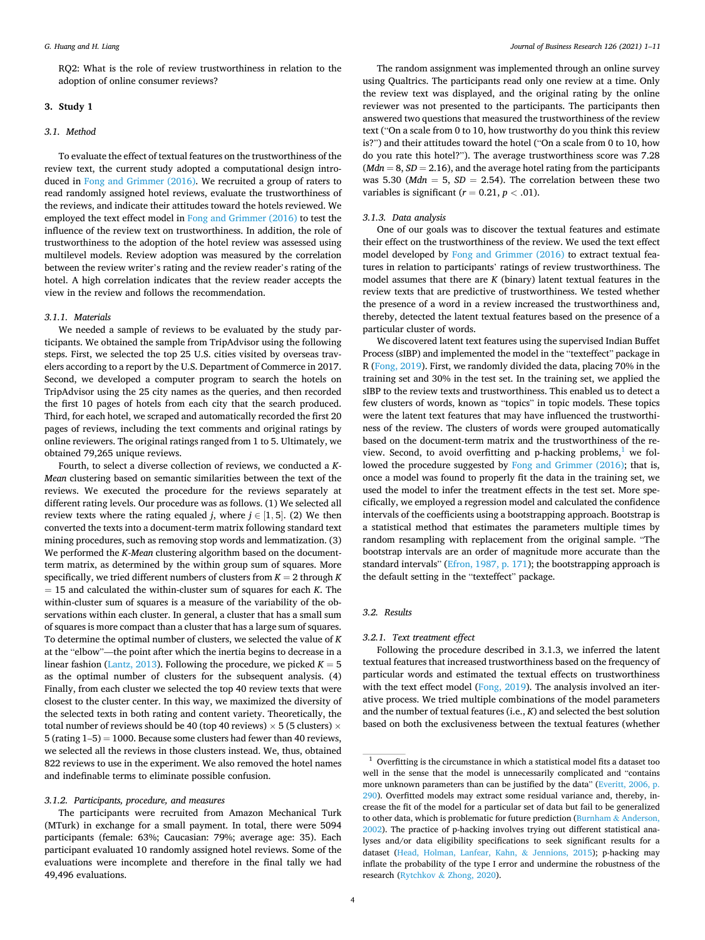RQ2: What is the role of review trustworthiness in relation to the adoption of online consumer reviews?

## **3. Study 1**

## *3.1. Method*

To evaluate the effect of textual features on the trustworthiness of the review text, the current study adopted a computational design introduced in [Fong and Grimmer \(2016\)](#page-9-0). We recruited a group of raters to read randomly assigned hotel reviews, evaluate the trustworthiness of the reviews, and indicate their attitudes toward the hotels reviewed. We employed the text effect model in [Fong and Grimmer \(2016\)](#page-9-0) to test the influence of the review text on trustworthiness. In addition, the role of trustworthiness to the adoption of the hotel review was assessed using multilevel models. Review adoption was measured by the correlation between the review writer's rating and the review reader's rating of the hotel. A high correlation indicates that the review reader accepts the view in the review and follows the recommendation.

## *3.1.1. Materials*

We needed a sample of reviews to be evaluated by the study participants. We obtained the sample from TripAdvisor using the following steps. First, we selected the top 25 U.S. cities visited by overseas travelers according to a report by the U.S. Department of Commerce in 2017. Second, we developed a computer program to search the hotels on TripAdvisor using the 25 city names as the queries, and then recorded the first 10 pages of hotels from each city that the search produced. Third, for each hotel, we scraped and automatically recorded the first 20 pages of reviews, including the text comments and original ratings by online reviewers. The original ratings ranged from 1 to 5. Ultimately, we obtained 79,265 unique reviews.

Fourth, to select a diverse collection of reviews, we conducted a *K-Mean* clustering based on semantic similarities between the text of the reviews. We executed the procedure for the reviews separately at different rating levels. Our procedure was as follows. (1) We selected all review texts where the rating equaled *j*, where  $j \in [1, 5]$ . (2) We then converted the texts into a document-term matrix following standard text mining procedures, such as removing stop words and lemmatization. (3) We performed the *K-Mean* clustering algorithm based on the documentterm matrix, as determined by the within group sum of squares. More specifically, we tried different numbers of clusters from  $K = 2$  through  $K$  $= 15$  and calculated the within-cluster sum of squares for each *K*. The within-cluster sum of squares is a measure of the variability of the observations within each cluster. In general, a cluster that has a small sum of squares is more compact than a cluster that has a large sum of squares. To determine the optimal number of clusters, we selected the value of *K*  at the "elbow"—the point after which the inertia begins to decrease in a linear fashion [\(Lantz, 2013\)](#page-10-0). Following the procedure, we picked  $K = 5$ as the optimal number of clusters for the subsequent analysis. (4) Finally, from each cluster we selected the top 40 review texts that were closest to the cluster center. In this way, we maximized the diversity of the selected texts in both rating and content variety. Theoretically, the total number of reviews should be 40 (top 40 reviews)  $\times$  5 (5 clusters)  $\times$ 5 (rating 1–5) = 1000. Because some clusters had fewer than 40 reviews, we selected all the reviews in those clusters instead. We, thus, obtained 822 reviews to use in the experiment. We also removed the hotel names and indefinable terms to eliminate possible confusion.

#### *3.1.2. Participants, procedure, and measures*

The participants were recruited from Amazon Mechanical Turk (MTurk) in exchange for a small payment. In total, there were 5094 participants (female: 63%; Caucasian: 79%; average age: 35). Each participant evaluated 10 randomly assigned hotel reviews. Some of the evaluations were incomplete and therefore in the final tally we had 49,496 evaluations.

The random assignment was implemented through an online survey using Qualtrics. The participants read only one review at a time. Only the review text was displayed, and the original rating by the online reviewer was not presented to the participants. The participants then answered two questions that measured the trustworthiness of the review text ("On a scale from 0 to 10, how trustworthy do you think this review is?") and their attitudes toward the hotel ("On a scale from 0 to 10, how do you rate this hotel?"). The average trustworthiness score was 7.28  $(Mdn = 8, SD = 2.16)$ , and the average hotel rating from the participants was 5.30 ( $Mdn = 5$ ,  $SD = 2.54$ ). The correlation between these two variables is significant  $(r = 0.21, p < .01)$ .

## *3.1.3. Data analysis*

One of our goals was to discover the textual features and estimate their effect on the trustworthiness of the review. We used the text effect model developed by [Fong and Grimmer \(2016\)](#page-9-0) to extract textual features in relation to participants' ratings of review trustworthiness. The model assumes that there are *K* (binary) latent textual features in the review texts that are predictive of trustworthiness. We tested whether the presence of a word in a review increased the trustworthiness and, thereby, detected the latent textual features based on the presence of a particular cluster of words.

We discovered latent text features using the supervised Indian Buffet Process (sIBP) and implemented the model in the "texteffect" package in R ([Fong, 2019](#page-9-0)). First, we randomly divided the data, placing 70% in the training set and 30% in the test set. In the training set, we applied the sIBP to the review texts and trustworthiness. This enabled us to detect a few clusters of words, known as "topics" in topic models. These topics were the latent text features that may have influenced the trustworthiness of the review. The clusters of words were grouped automatically based on the document-term matrix and the trustworthiness of the review. Second, to avoid overfitting and p-hacking problems, $<sup>1</sup>$  we fol-</sup> lowed the procedure suggested by [Fong and Grimmer \(2016\);](#page-9-0) that is, once a model was found to properly fit the data in the training set, we used the model to infer the treatment effects in the test set. More specifically, we employed a regression model and calculated the confidence intervals of the coefficients using a bootstrapping approach. Bootstrap is a statistical method that estimates the parameters multiple times by random resampling with replacement from the original sample. "The bootstrap intervals are an order of magnitude more accurate than the standard intervals" [\(Efron, 1987, p. 171](#page-9-0)); the bootstrapping approach is the default setting in the "texteffect" package.

## *3.2. Results*

#### *3.2.1. Text treatment effect*

Following the procedure described in 3.1.3, we inferred the latent textual features that increased trustworthiness based on the frequency of particular words and estimated the textual effects on trustworthiness with the text effect model [\(Fong, 2019\)](#page-9-0). The analysis involved an iterative process. We tried multiple combinations of the model parameters and the number of textual features (i.e., *K*) and selected the best solution based on both the exclusiveness between the textual features (whether

<sup>1</sup> Overfitting is the circumstance in which a statistical model fits a dataset too well in the sense that the model is unnecessarily complicated and "contains more unknown parameters than can be justified by the data" ([Everitt, 2006, p.](#page-9-0)  [290\)](#page-9-0). Overfitted models may extract some residual variance and, thereby, increase the fit of the model for a particular set of data but fail to be generalized to other data, which is problematic for future prediction (Burnham  $\&$  Anderson, [2002\)](#page-9-0). The practice of p-hacking involves trying out different statistical analyses and/or data eligibility specifications to seek significant results for a dataset ([Head, Holman, Lanfear, Kahn,](#page-9-0) & Jennions, 2015); p-hacking may inflate the probability of the type I error and undermine the robustness of the research (Rytchkov & [Zhong, 2020](#page-10-0)).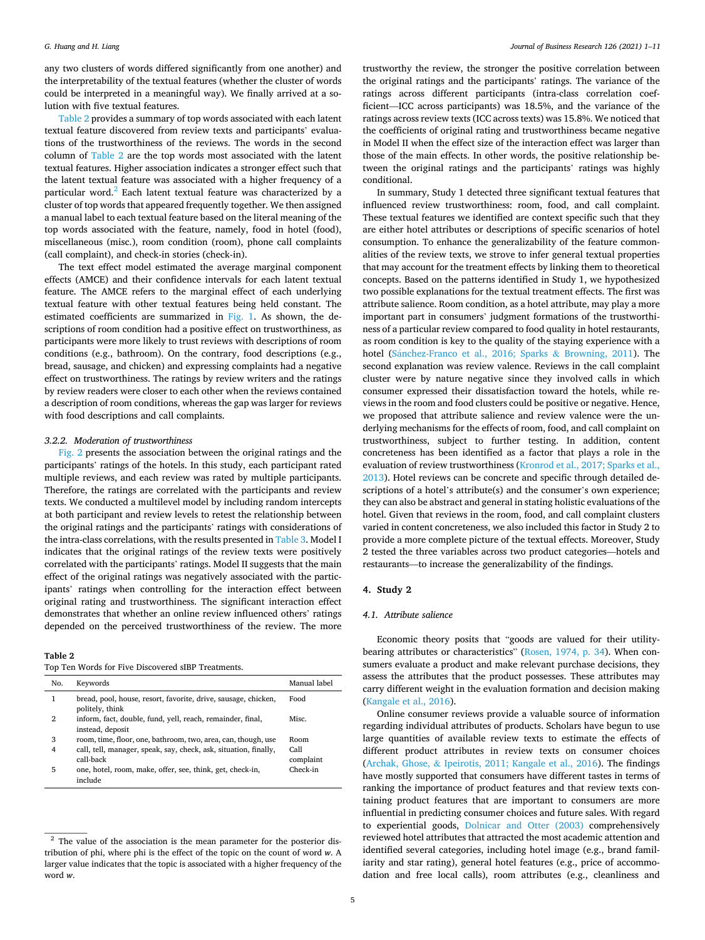any two clusters of words differed significantly from one another) and the interpretability of the textual features (whether the cluster of words could be interpreted in a meaningful way). We finally arrived at a solution with five textual features.

Table 2 provides a summary of top words associated with each latent textual feature discovered from review texts and participants' evaluations of the trustworthiness of the reviews. The words in the second column of Table 2 are the top words most associated with the latent textual features. Higher association indicates a stronger effect such that the latent textual feature was associated with a higher frequency of a particular word.<sup>2</sup> Each latent textual feature was characterized by a cluster of top words that appeared frequently together. We then assigned a manual label to each textual feature based on the literal meaning of the top words associated with the feature, namely, food in hotel (food), miscellaneous (misc.), room condition (room), phone call complaints (call complaint), and check-in stories (check-in).

The text effect model estimated the average marginal component effects (AMCE) and their confidence intervals for each latent textual feature. The AMCE refers to the marginal effect of each underlying textual feature with other textual features being held constant. The estimated coefficients are summarized in [Fig. 1.](#page-5-0) As shown, the descriptions of room condition had a positive effect on trustworthiness, as participants were more likely to trust reviews with descriptions of room conditions (e.g., bathroom). On the contrary, food descriptions (e.g., bread, sausage, and chicken) and expressing complaints had a negative effect on trustworthiness. The ratings by review writers and the ratings by review readers were closer to each other when the reviews contained a description of room conditions, whereas the gap was larger for reviews with food descriptions and call complaints.

#### *3.2.2. Moderation of trustworthiness*

[Fig. 2](#page-5-0) presents the association between the original ratings and the participants' ratings of the hotels. In this study, each participant rated multiple reviews, and each review was rated by multiple participants. Therefore, the ratings are correlated with the participants and review texts. We conducted a multilevel model by including random intercepts at both participant and review levels to retest the relationship between the original ratings and the participants' ratings with considerations of the intra-class correlations, with the results presented in [Table 3](#page-6-0). Model I indicates that the original ratings of the review texts were positively correlated with the participants' ratings. Model II suggests that the main effect of the original ratings was negatively associated with the participants' ratings when controlling for the interaction effect between original rating and trustworthiness. The significant interaction effect demonstrates that whether an online review influenced others' ratings depended on the perceived trustworthiness of the review. The more

#### **Table 2**

Top Ten Words for Five Discovered sIBP Treatments.

| No. | Keywords                                                                          | Manual label      |
|-----|-----------------------------------------------------------------------------------|-------------------|
|     | bread, pool, house, resort, favorite, drive, sausage, chicken,<br>politely, think | Food              |
| 2   | inform, fact, double, fund, yell, reach, remainder, final,<br>instead, deposit    | Misc.             |
| 3   | room, time, floor, one, bathroom, two, area, can, though, use                     | Room              |
| 4   | call, tell, manager, speak, say, check, ask, situation, finally,<br>call-back     | Call<br>complaint |
| 5   | one, hotel, room, make, offer, see, think, get, check-in,<br>include              | Check-in          |

trustworthy the review, the stronger the positive correlation between the original ratings and the participants' ratings. The variance of the ratings across different participants (intra-class correlation coefficient—ICC across participants) was 18.5%, and the variance of the ratings across review texts (ICC across texts) was 15.8%. We noticed that the coefficients of original rating and trustworthiness became negative in Model II when the effect size of the interaction effect was larger than those of the main effects. In other words, the positive relationship between the original ratings and the participants' ratings was highly conditional.

In summary, Study 1 detected three significant textual features that influenced review trustworthiness: room, food, and call complaint. These textual features we identified are context specific such that they are either hotel attributes or descriptions of specific scenarios of hotel consumption. To enhance the generalizability of the feature commonalities of the review texts, we strove to infer general textual properties that may account for the treatment effects by linking them to theoretical concepts. Based on the patterns identified in Study 1, we hypothesized two possible explanations for the textual treatment effects. The first was attribute salience. Room condition, as a hotel attribute, may play a more important part in consumers' judgment formations of the trustworthiness of a particular review compared to food quality in hotel restaurants, as room condition is key to the quality of the staying experience with a hotel (Sánchez-Franco et al., 2016; Sparks & Browning, 2011). The second explanation was review valence. Reviews in the call complaint cluster were by nature negative since they involved calls in which consumer expressed their dissatisfaction toward the hotels, while reviews in the room and food clusters could be positive or negative. Hence, we proposed that attribute salience and review valence were the underlying mechanisms for the effects of room, food, and call complaint on trustworthiness, subject to further testing. In addition, content concreteness has been identified as a factor that plays a role in the evaluation of review trustworthiness [\(Kronrod et al., 2017; Sparks et al.,](#page-10-0)  [2013\)](#page-10-0). Hotel reviews can be concrete and specific through detailed descriptions of a hotel's attribute(s) and the consumer's own experience; they can also be abstract and general in stating holistic evaluations of the hotel. Given that reviews in the room, food, and call complaint clusters varied in content concreteness, we also included this factor in Study 2 to provide a more complete picture of the textual effects. Moreover, Study 2 tested the three variables across two product categories—hotels and restaurants—to increase the generalizability of the findings.

#### **4. Study 2**

## *4.1. Attribute salience*

Economic theory posits that "goods are valued for their utility-bearing attributes or characteristics" [\(Rosen, 1974, p. 34](#page-10-0)). When consumers evaluate a product and make relevant purchase decisions, they assess the attributes that the product possesses. These attributes may carry different weight in the evaluation formation and decision making ([Kangale et al., 2016](#page-9-0)).

Online consumer reviews provide a valuable source of information regarding individual attributes of products. Scholars have begun to use large quantities of available review texts to estimate the effects of different product attributes in review texts on consumer choices (Archak, Ghose, & [Ipeirotis, 2011; Kangale et al., 2016](#page-9-0)). The findings have mostly supported that consumers have different tastes in terms of ranking the importance of product features and that review texts containing product features that are important to consumers are more influential in predicting consumer choices and future sales. With regard to experiential goods, [Dolnicar and Otter \(2003\)](#page-9-0) comprehensively reviewed hotel attributes that attracted the most academic attention and identified several categories, including hotel image (e.g., brand familiarity and star rating), general hotel features (e.g., price of accommodation and free local calls), room attributes (e.g., cleanliness and

 $2$  The value of the association is the mean parameter for the posterior distribution of phi, where phi is the effect of the topic on the count of word *w*. A larger value indicates that the topic is associated with a higher frequency of the word *w*.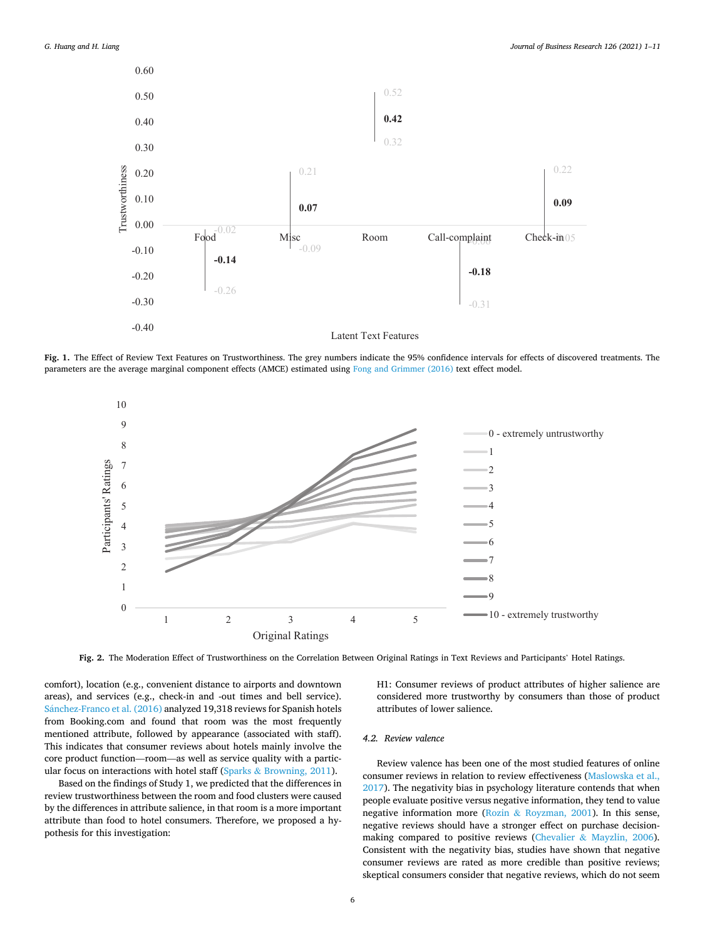<span id="page-5-0"></span>

**Fig. 1.** The Effect of Review Text Features on Trustworthiness. The grey numbers indicate the 95% confidence intervals for effects of discovered treatments. The parameters are the average marginal component effects (AMCE) estimated using [Fong and Grimmer \(2016\)](#page-9-0) text effect model.



**Fig. 2.** The Moderation Effect of Trustworthiness on the Correlation Between Original Ratings in Text Reviews and Participants' Hotel Ratings.

comfort), location (e.g., convenient distance to airports and downtown areas), and services (e.g., check-in and -out times and bell service). Sánchez-Franco et al. (2016) analyzed 19,318 reviews for Spanish hotels from Booking.com and found that room was the most frequently mentioned attribute, followed by appearance (associated with staff). This indicates that consumer reviews about hotels mainly involve the core product function—room—as well as service quality with a particular focus on interactions with hotel staff (Sparks  $\&$  [Browning, 2011](#page-10-0)).

Based on the findings of Study 1, we predicted that the differences in review trustworthiness between the room and food clusters were caused by the differences in attribute salience, in that room is a more important attribute than food to hotel consumers. Therefore, we proposed a hypothesis for this investigation:

H1: Consumer reviews of product attributes of higher salience are considered more trustworthy by consumers than those of product attributes of lower salience.

## *4.2. Review valence*

Review valence has been one of the most studied features of online consumer reviews in relation to review effectiveness ([Maslowska et al.,](#page-10-0)  [2017\)](#page-10-0). The negativity bias in psychology literature contends that when people evaluate positive versus negative information, they tend to value negative information more (Rozin & [Royzman, 2001\)](#page-10-0). In this sense, negative reviews should have a stronger effect on purchase decisionmaking compared to positive reviews (Chevalier & [Mayzlin, 2006](#page-9-0)). Consistent with the negativity bias, studies have shown that negative consumer reviews are rated as more credible than positive reviews; skeptical consumers consider that negative reviews, which do not seem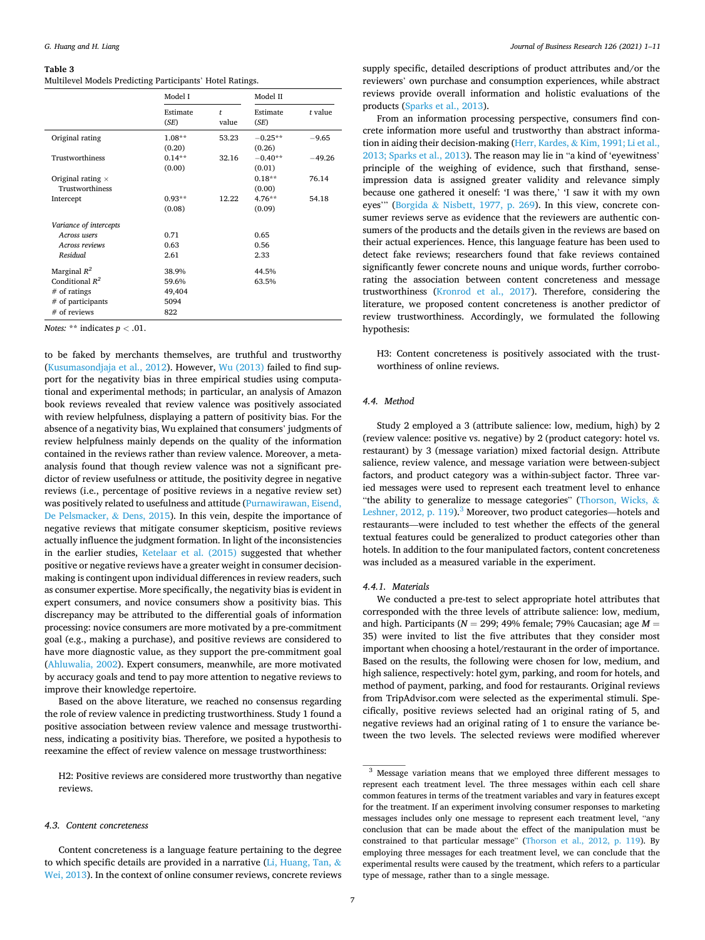#### <span id="page-6-0"></span>**Table 3**

| Multilevel Models Predicting Participants' Hotel Ratings. |  |  |
|-----------------------------------------------------------|--|--|
|-----------------------------------------------------------|--|--|

|                                                                                              | Model I                                 |            | Model II             |          |
|----------------------------------------------------------------------------------------------|-----------------------------------------|------------|----------------------|----------|
|                                                                                              | Estimate<br>(SE)                        | t<br>value | Estimate<br>(SE)     | t value  |
| Original rating                                                                              | $1.08**$<br>(0.20)                      | 53.23      | $-0.25**$<br>(0.26)  | $-9.65$  |
| Trustworthiness                                                                              | $0.14***$<br>(0.00)                     | 32.16      | $-0.40**$<br>(0.01)  | $-49.26$ |
| Original rating $\times$<br>Trustworthiness                                                  |                                         |            | $0.18**$<br>(0.00)   | 76.14    |
| Intercept                                                                                    | $0.93**$<br>(0.08)                      | 12.22      | $4.76**$<br>(0.09)   | 54.18    |
| Variance of intercepts                                                                       |                                         |            |                      |          |
| Across users<br>Across reviews<br>Residual                                                   | 0.71<br>0.63<br>2.61                    |            | 0.65<br>0.56<br>2.33 |          |
| Marginal $R^2$<br>Conditional $R^2$<br>$#$ of ratings<br>$#$ of participants<br># of reviews | 38.9%<br>59.6%<br>49,404<br>5094<br>822 |            | 44.5%<br>63.5%       |          |

*Notes:* \*\* indicates *p <* .01.

to be faked by merchants themselves, are truthful and trustworthy ([Kusumasondjaja et al., 2012\)](#page-10-0). However, [Wu \(2013\)](#page-10-0) failed to find support for the negativity bias in three empirical studies using computational and experimental methods; in particular, an analysis of Amazon book reviews revealed that review valence was positively associated with review helpfulness, displaying a pattern of positivity bias. For the absence of a negativity bias, Wu explained that consumers' judgments of review helpfulness mainly depends on the quality of the information contained in the reviews rather than review valence. Moreover, a metaanalysis found that though review valence was not a significant predictor of review usefulness or attitude, the positivity degree in negative reviews (i.e., percentage of positive reviews in a negative review set) was positively related to usefulness and attitude ([Purnawirawan, Eisend,](#page-10-0)  [De Pelsmacker,](#page-10-0) & Dens, 2015). In this vein, despite the importance of negative reviews that mitigate consumer skepticism, positive reviews actually influence the judgment formation. In light of the inconsistencies in the earlier studies, [Ketelaar et al. \(2015\)](#page-10-0) suggested that whether positive or negative reviews have a greater weight in consumer decisionmaking is contingent upon individual differences in review readers, such as consumer expertise. More specifically, the negativity bias is evident in expert consumers, and novice consumers show a positivity bias. This discrepancy may be attributed to the differential goals of information processing: novice consumers are more motivated by a pre-commitment goal (e.g., making a purchase), and positive reviews are considered to have more diagnostic value, as they support the pre-commitment goal ([Ahluwalia, 2002](#page-9-0)). Expert consumers, meanwhile, are more motivated by accuracy goals and tend to pay more attention to negative reviews to improve their knowledge repertoire.

Based on the above literature, we reached no consensus regarding the role of review valence in predicting trustworthiness. Study 1 found a positive association between review valence and message trustworthiness, indicating a positivity bias. Therefore, we posited a hypothesis to reexamine the effect of review valence on message trustworthiness:

H2: Positive reviews are considered more trustworthy than negative reviews.

## *4.3. Content concreteness*

supply specific, detailed descriptions of product attributes and/or the reviewers' own purchase and consumption experiences, while abstract reviews provide overall information and holistic evaluations of the products ([Sparks et al., 2013](#page-10-0)).

From an information processing perspective, consumers find concrete information more useful and trustworthy than abstract information in aiding their decision-making (Herr, Kardes, & [Kim, 1991; Li et al.,](#page-9-0)  [2013; Sparks et al., 2013\)](#page-9-0). The reason may lie in "a kind of 'eyewitness' principle of the weighing of evidence, such that firsthand, senseimpression data is assigned greater validity and relevance simply because one gathered it oneself: 'I was there,' 'I saw it with my own eyes'" (Borgida & [Nisbett, 1977, p. 269\)](#page-9-0). In this view, concrete consumer reviews serve as evidence that the reviewers are authentic consumers of the products and the details given in the reviews are based on their actual experiences. Hence, this language feature has been used to detect fake reviews; researchers found that fake reviews contained significantly fewer concrete nouns and unique words, further corroborating the association between content concreteness and message trustworthiness [\(Kronrod et al., 2017\)](#page-10-0). Therefore, considering the literature, we proposed content concreteness is another predictor of review trustworthiness. Accordingly, we formulated the following hypothesis:

H3: Content concreteness is positively associated with the trustworthiness of online reviews.

## *4.4. Method*

Study 2 employed a 3 (attribute salience: low, medium, high) by 2 (review valence: positive vs. negative) by 2 (product category: hotel vs. restaurant) by 3 (message variation) mixed factorial design. Attribute salience, review valence, and message variation were between-subject factors, and product category was a within-subject factor. Three varied messages were used to represent each treatment level to enhance "the ability to generalize to message categories" [\(Thorson, Wicks,](#page-10-0) & [Leshner, 2012, p. 119](#page-10-0)).<sup>3</sup> Moreover, two product categories—hotels and restaurants—were included to test whether the effects of the general textual features could be generalized to product categories other than hotels. In addition to the four manipulated factors, content concreteness was included as a measured variable in the experiment.

#### *4.4.1. Materials*

We conducted a pre-test to select appropriate hotel attributes that corresponded with the three levels of attribute salience: low, medium, and high. Participants ( $N = 299$ ; 49% female; 79% Caucasian; age  $M =$ 35) were invited to list the five attributes that they consider most important when choosing a hotel/restaurant in the order of importance. Based on the results, the following were chosen for low, medium, and high salience, respectively: hotel gym, parking, and room for hotels, and method of payment, parking, and food for restaurants. Original reviews from TripAdvisor.com were selected as the experimental stimuli. Specifically, positive reviews selected had an original rating of 5, and negative reviews had an original rating of 1 to ensure the variance between the two levels. The selected reviews were modified wherever

Content concreteness is a language feature pertaining to the degree to which specific details are provided in a narrative  $(Li, Huang, Tan, &$  $(Li, Huang, Tan, &$  $(Li, Huang, Tan, &$ [Wei, 2013](#page-10-0)). In the context of online consumer reviews, concrete reviews

<sup>3</sup> Message variation means that we employed three different messages to represent each treatment level. The three messages within each cell share common features in terms of the treatment variables and vary in features except for the treatment. If an experiment involving consumer responses to marketing messages includes only one message to represent each treatment level, "any conclusion that can be made about the effect of the manipulation must be constrained to that particular message" [\(Thorson et al., 2012, p. 119](#page-10-0)). By employing three messages for each treatment level, we can conclude that the experimental results were caused by the treatment, which refers to a particular type of message, rather than to a single message.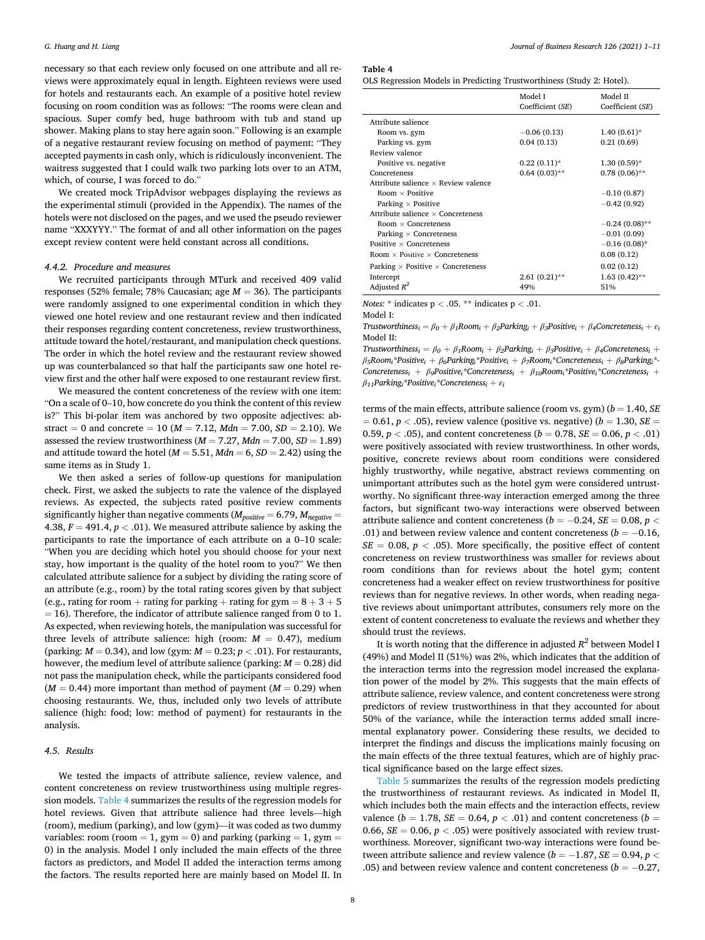necessary so that each review only focused on one attribute and all reviews were approximately equal in length. Eighteen reviews were used for hotels and restaurants each. An example of a positive hotel review focusing on room condition was as follows: "The rooms were clean and spacious. Super comfy bed, huge bathroom with tub and stand up shower. Making plans to stay here again soon." Following is an example of a negative restaurant review focusing on method of payment: "They accepted payments in cash only, which is ridiculously inconvenient. The waitress suggested that I could walk two parking lots over to an ATM, which, of course, I was forced to do."

We created mock TripAdvisor webpages displaying the reviews as the experimental stimuli (provided in the Appendix). The names of the hotels were not disclosed on the pages, and we used the pseudo reviewer name "XXXYYY." The format of and all other information on the pages except review content were held constant across all conditions.

## *4.4.2. Procedure and measures*

We recruited participants through MTurk and received 409 valid responses (52% female; 78% Caucasian; age *M* = 36). The participants were randomly assigned to one experimental condition in which they viewed one hotel review and one restaurant review and then indicated their responses regarding content concreteness, review trustworthiness, attitude toward the hotel/restaurant, and manipulation check questions. The order in which the hotel review and the restaurant review showed up was counterbalanced so that half the participants saw one hotel review first and the other half were exposed to one restaurant review first.

We measured the content concreteness of the review with one item: "On a scale of 0–10, how concrete do you think the content of this review is?" This bi-polar item was anchored by two opposite adjectives: abstract = 0 and concrete = 10 ( $M = 7.12$ ,  $Mdn = 7.00$ ,  $SD = 2.10$ ). We assessed the review trustworthiness (*M* = 7.27, *Mdn* = 7.00, *SD* = 1.89) and attitude toward the hotel ( $M = 5.51$ ,  $Mdn = 6$ ,  $SD = 2.42$ ) using the same items as in Study 1.

We then asked a series of follow-up questions for manipulation check. First, we asked the subjects to rate the valence of the displayed reviews. As expected, the subjects rated positive review comments significantly higher than negative comments ( $M_{positive} = 6.79$ ,  $M_{negative} =$ 4.38,  $F = 491.4$ ,  $p < .01$ ). We measured attribute salience by asking the participants to rate the importance of each attribute on a 0–10 scale: "When you are deciding which hotel you should choose for your next stay, how important is the quality of the hotel room to you?" We then calculated attribute salience for a subject by dividing the rating score of an attribute (e.g., room) by the total rating scores given by that subject (e.g., rating for room + rating for parking + rating for gym  $= 8 + 3 + 5$ )  $= 16$ ). Therefore, the indicator of attribute salience ranged from 0 to 1. As expected, when reviewing hotels, the manipulation was successful for three levels of attribute salience: high (room:  $M = 0.47$ ), medium (parking:  $M = 0.34$ ), and low (gym:  $M = 0.23$ ;  $p < .01$ ). For restaurants, however, the medium level of attribute salience (parking:  $M = 0.28$ ) did not pass the manipulation check, while the participants considered food  $(M = 0.44)$  more important than method of payment  $(M = 0.29)$  when choosing restaurants. We, thus, included only two levels of attribute salience (high: food; low: method of payment) for restaurants in the analysis.

## *4.5. Results*

We tested the impacts of attribute salience, review valence, and content concreteness on review trustworthiness using multiple regression models. Table 4 summarizes the results of the regression models for hotel reviews. Given that attribute salience had three levels—high (room), medium (parking), and low (gym)—it was coded as two dummy variables: room (room  $= 1$ , gym  $= 0$ ) and parking (parking  $= 1$ , gym  $=$ 0) in the analysis. Model I only included the main effects of the three factors as predictors, and Model II added the interaction terms among the factors. The results reported here are mainly based on Model II. In **Table 4** 

|  |  |  | OLS Regression Models in Predicting Trustworthiness (Study 2: Hotel). |  |  |
|--|--|--|-----------------------------------------------------------------------|--|--|
|--|--|--|-----------------------------------------------------------------------|--|--|

|                                                 | Model I<br>Coefficient (SE) | Model II<br>Coefficient (SE) |
|-------------------------------------------------|-----------------------------|------------------------------|
| Attribute salience                              |                             |                              |
| Room vs. gym                                    | $-0.06(0.13)$               | $1.40(0.61)*$                |
| Parking vs. gym                                 | 0.04(0.13)                  | 0.21(0.69)                   |
| Review valence                                  |                             |                              |
| Positive vs. negative                           | $0.22(0.11)*$               | $1.30(0.59)$ *               |
| Concreteness                                    | $0.64(0.03)$ **             | $0.78(0.06)$ **              |
| Attribute salience $\times$ Review valence      |                             |                              |
| Room $\times$ Positive                          |                             | $-0.10(0.87)$                |
| Parking $\times$ Positive                       |                             | $-0.42(0.92)$                |
| Attribute salience $\times$ Concreteness        |                             |                              |
| $Room \times Concreteness$                      |                             | $-0.24(0.08)$ **             |
| Parking $\times$ Concreteness                   |                             | $-0.01(0.09)$                |
| Positive $\times$ Concreteness                  |                             | $-0.16(0.08)$ *              |
| Room $\times$ Positive $\times$ Concreteness    |                             | 0.08(0.12)                   |
| Parking $\times$ Positive $\times$ Concreteness |                             | 0.02(0.12)                   |
| Intercept                                       | $2.61(0.21)$ **             | $1.63(0.42)$ **              |
| Adjusted $R^2$                                  | 49%                         | 51%                          |

*Notes:* \* indicates p *<* .05. \*\* indicates p *<* .01.

Model I:

*Trustworthiness<sub>i</sub></sub> =*  $\beta_0 + \beta_1$ *Room<sub>i</sub>* +  $\beta_2$ *Parking<sub>i</sub>* +  $\beta_3$ *Positive<sub>i</sub>* +  $\beta_4$ *Concreteness<sub>i</sub>* +  $\varepsilon_i$ Model II:

*Trustworthiness<sub>i</sub>* =  $\beta_0 + \beta_1$ Room<sub>i</sub> +  $\beta_2$ Parking<sub>i</sub> +  $\beta_3$ Positive<sub>i</sub> +  $\beta_4$ Concreteness<sub>i</sub> + *β5Roomi\*Positivei* + *β6Parkingi\*Positivei* + *β7Roomi\*Concretenessi* + *β8Parkingi\*-Concretenessi* + *β9Positivei\*Concretenessi* + *β10Roomi\*Positivei\*Concretenessi* +  $\beta_{11}$ Parking<sub>i</sub>\*Positive<sub>i</sub>\*Concreteness<sub>i</sub> +  $\varepsilon_i$ 

terms of the main effects, attribute salience (room vs. gym)  $(b = 1.40, SE)$  $= 0.61, p < .05$ , review valence (positive vs. negative) ( $b = 1.30, SE =$ 0.59,  $p < .05$ ), and content concreteness ( $b = 0.78$ ,  $SE = 0.06$ ,  $p < .01$ ) were positively associated with review trustworthiness. In other words, positive, concrete reviews about room conditions were considered highly trustworthy, while negative, abstract reviews commenting on unimportant attributes such as the hotel gym were considered untrustworthy. No significant three-way interaction emerged among the three factors, but significant two-way interactions were observed between attribute salience and content concreteness ( $b = -0.24$ ,  $SE = 0.08$ ,  $p <$ .01) and between review valence and content concreteness ( $b = -0.16$ ,  $SE = 0.08$ ,  $p < .05$ ). More specifically, the positive effect of content concreteness on review trustworthiness was smaller for reviews about room conditions than for reviews about the hotel gym; content concreteness had a weaker effect on review trustworthiness for positive reviews than for negative reviews. In other words, when reading negative reviews about unimportant attributes, consumers rely more on the extent of content concreteness to evaluate the reviews and whether they should trust the reviews.

It is worth noting that the difference in adjusted  $R^2$  between Model I (49%) and Model II (51%) was 2%, which indicates that the addition of the interaction terms into the regression model increased the explanation power of the model by 2%. This suggests that the main effects of attribute salience, review valence, and content concreteness were strong predictors of review trustworthiness in that they accounted for about 50% of the variance, while the interaction terms added small incremental explanatory power. Considering these results, we decided to interpret the findings and discuss the implications mainly focusing on the main effects of the three textual features, which are of highly practical significance based on the large effect sizes.

[Table 5](#page-8-0) summarizes the results of the regression models predicting the trustworthiness of restaurant reviews. As indicated in Model II, which includes both the main effects and the interaction effects, review valence ( $b = 1.78$ ,  $SE = 0.64$ ,  $p < .01$ ) and content concreteness ( $b =$ 0.66,  $SE = 0.06$ ,  $p < .05$ ) were positively associated with review trustworthiness. Moreover, significant two-way interactions were found between attribute salience and review valence ( $b = -1.87$ ,  $SE = 0.94$ ,  $p <$ .05) and between review valence and content concreteness (*b* = − 0.27,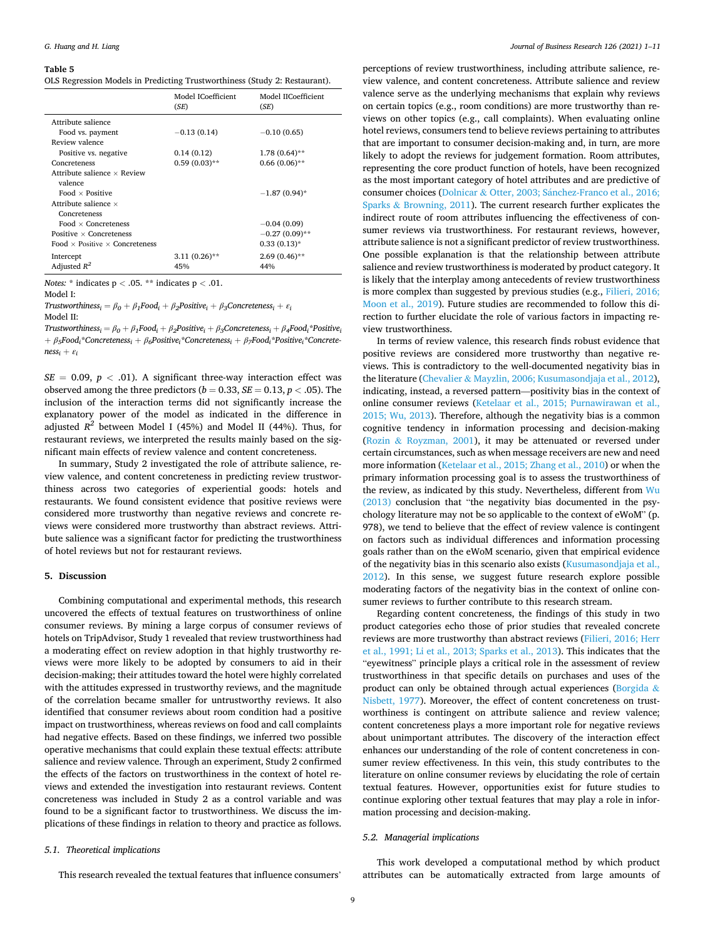#### <span id="page-8-0"></span>**Table 5**

|  |  |  | OLS Regression Models in Predicting Trustworthiness (Study 2: Restaurant). |  |  |  |
|--|--|--|----------------------------------------------------------------------------|--|--|--|
|--|--|--|----------------------------------------------------------------------------|--|--|--|

|                                              | Model ICoefficient<br>(SE) | Model IICoefficient<br>(SE) |
|----------------------------------------------|----------------------------|-----------------------------|
| Attribute salience                           |                            |                             |
| Food vs. payment                             | $-0.13(0.14)$              | $-0.10(0.65)$               |
| Review valence                               |                            |                             |
| Positive vs. negative                        | 0.14(0.12)                 | $1.78(0.64)$ **             |
| Concreteness                                 | $0.59(0.03)$ **            | $0.66(0.06)$ **             |
| Attribute salience $\times$ Review           |                            |                             |
| valence                                      |                            |                             |
| Food $\times$ Positive                       |                            | $-1.87(0.94)$ *             |
| Attribute salience $\times$                  |                            |                             |
| Concreteness                                 |                            |                             |
| Food $\times$ Concreteness                   |                            | $-0.04(0.09)$               |
| Positive $\times$ Concreteness               |                            | $-0.27(0.09)$ **            |
| Food $\times$ Positive $\times$ Concreteness |                            | $0.33(0.13)*$               |
| Intercept                                    | $3.11(0.26)$ **            | $2.69(0.46)$ **             |
| Adjusted $R^2$                               | 45%                        | 44%                         |

*Notes:* \* indicates p *<* .05. \*\* indicates p *<* .01.

Model I:

*Trustworthiness<sub>i</sub>* =  $\beta_0 + \beta_1$ *Food<sub>i</sub>* +  $\beta_2$ *Positive<sub>i</sub>* +  $\beta_3$ *Concreteness<sub>i</sub>* +  $\varepsilon_i$ Model II:

*Trustworthiness<sub>i</sub>* =  $\beta_0 + \beta_1$ *Food<sub>i</sub>* +  $\beta_2$ *Positive<sub>i</sub>* +  $\beta_3$ *Concreteness<sub>i</sub>* +  $\beta_4$ *Food<sub>i</sub>*\**Positive<sub>i</sub>* + *β5Foodi\*Concretenessi* + *β6Positivei\*Concretenessi* + *β7Foodi\*Positivei\*Concrete* $ness_i + \varepsilon_i$ 

 $SE = 0.09$ ,  $p < .01$ ). A significant three-way interaction effect was observed among the three predictors ( $b = 0.33$ ,  $SE = 0.13$ ,  $p < .05$ ). The inclusion of the interaction terms did not significantly increase the explanatory power of the model as indicated in the difference in adjusted  $R^2$  between Model I (45%) and Model II (44%). Thus, for restaurant reviews, we interpreted the results mainly based on the significant main effects of review valence and content concreteness.

In summary, Study 2 investigated the role of attribute salience, review valence, and content concreteness in predicting review trustworthiness across two categories of experiential goods: hotels and restaurants. We found consistent evidence that positive reviews were considered more trustworthy than negative reviews and concrete reviews were considered more trustworthy than abstract reviews. Attribute salience was a significant factor for predicting the trustworthiness of hotel reviews but not for restaurant reviews.

## **5. Discussion**

Combining computational and experimental methods, this research uncovered the effects of textual features on trustworthiness of online consumer reviews. By mining a large corpus of consumer reviews of hotels on TripAdvisor, Study 1 revealed that review trustworthiness had a moderating effect on review adoption in that highly trustworthy reviews were more likely to be adopted by consumers to aid in their decision-making; their attitudes toward the hotel were highly correlated with the attitudes expressed in trustworthy reviews, and the magnitude of the correlation became smaller for untrustworthy reviews. It also identified that consumer reviews about room condition had a positive impact on trustworthiness, whereas reviews on food and call complaints had negative effects. Based on these findings, we inferred two possible operative mechanisms that could explain these textual effects: attribute salience and review valence. Through an experiment, Study 2 confirmed the effects of the factors on trustworthiness in the context of hotel reviews and extended the investigation into restaurant reviews. Content concreteness was included in Study 2 as a control variable and was found to be a significant factor to trustworthiness. We discuss the implications of these findings in relation to theory and practice as follows.

## *5.1. Theoretical implications*

This research revealed the textual features that influence consumers'

perceptions of review trustworthiness, including attribute salience, review valence, and content concreteness. Attribute salience and review valence serve as the underlying mechanisms that explain why reviews on certain topics (e.g., room conditions) are more trustworthy than reviews on other topics (e.g., call complaints). When evaluating online hotel reviews, consumers tend to believe reviews pertaining to attributes that are important to consumer decision-making and, in turn, are more likely to adopt the reviews for judgement formation. Room attributes, representing the core product function of hotels, have been recognized as the most important category of hotel attributes and are predictive of consumer choices (Dolnicar & Otter, 2003; Sánchez-Franco et al., 2016; Sparks & [Browning, 2011](#page-9-0)). The current research further explicates the indirect route of room attributes influencing the effectiveness of consumer reviews via trustworthiness. For restaurant reviews, however, attribute salience is not a significant predictor of review trustworthiness. One possible explanation is that the relationship between attribute salience and review trustworthiness is moderated by product category. It is likely that the interplay among antecedents of review trustworthiness is more complex than suggested by previous studies (e.g., [Filieri, 2016;](#page-9-0)  [Moon et al., 2019](#page-9-0)). Future studies are recommended to follow this direction to further elucidate the role of various factors in impacting review trustworthiness.

In terms of review valence, this research finds robust evidence that positive reviews are considered more trustworthy than negative reviews. This is contradictory to the well-documented negativity bias in the literature (Chevalier & [Mayzlin, 2006; Kusumasondjaja et al., 2012](#page-9-0)), indicating, instead, a reversed pattern—positivity bias in the context of online consumer reviews [\(Ketelaar et al., 2015; Purnawirawan et al.,](#page-10-0)  [2015; Wu, 2013\)](#page-10-0). Therefore, although the negativity bias is a common cognitive tendency in information processing and decision-making (Rozin & [Royzman, 2001\)](#page-10-0), it may be attenuated or reversed under certain circumstances, such as when message receivers are new and need more information [\(Ketelaar et al., 2015; Zhang et al., 2010](#page-10-0)) or when the primary information processing goal is to assess the trustworthiness of the review, as indicated by this study. Nevertheless, different from [Wu](#page-10-0)  [\(2013\)](#page-10-0) conclusion that "the negativity bias documented in the psychology literature may not be so applicable to the context of eWoM" (p. 978), we tend to believe that the effect of review valence is contingent on factors such as individual differences and information processing goals rather than on the eWoM scenario, given that empirical evidence of the negativity bias in this scenario also exists [\(Kusumasondjaja et al.,](#page-10-0)  [2012\)](#page-10-0). In this sense, we suggest future research explore possible moderating factors of the negativity bias in the context of online consumer reviews to further contribute to this research stream.

Regarding content concreteness, the findings of this study in two product categories echo those of prior studies that revealed concrete reviews are more trustworthy than abstract reviews ([Filieri, 2016; Herr](#page-9-0)  [et al., 1991; Li et al., 2013; Sparks et al., 2013](#page-9-0)). This indicates that the "eyewitness" principle plays a critical role in the assessment of review trustworthiness in that specific details on purchases and uses of the product can only be obtained through actual experiences ([Borgida](#page-9-0)  $\&$ [Nisbett, 1977\)](#page-9-0). Moreover, the effect of content concreteness on trustworthiness is contingent on attribute salience and review valence; content concreteness plays a more important role for negative reviews about unimportant attributes. The discovery of the interaction effect enhances our understanding of the role of content concreteness in consumer review effectiveness. In this vein, this study contributes to the literature on online consumer reviews by elucidating the role of certain textual features. However, opportunities exist for future studies to continue exploring other textual features that may play a role in information processing and decision-making.

## *5.2. Managerial implications*

This work developed a computational method by which product attributes can be automatically extracted from large amounts of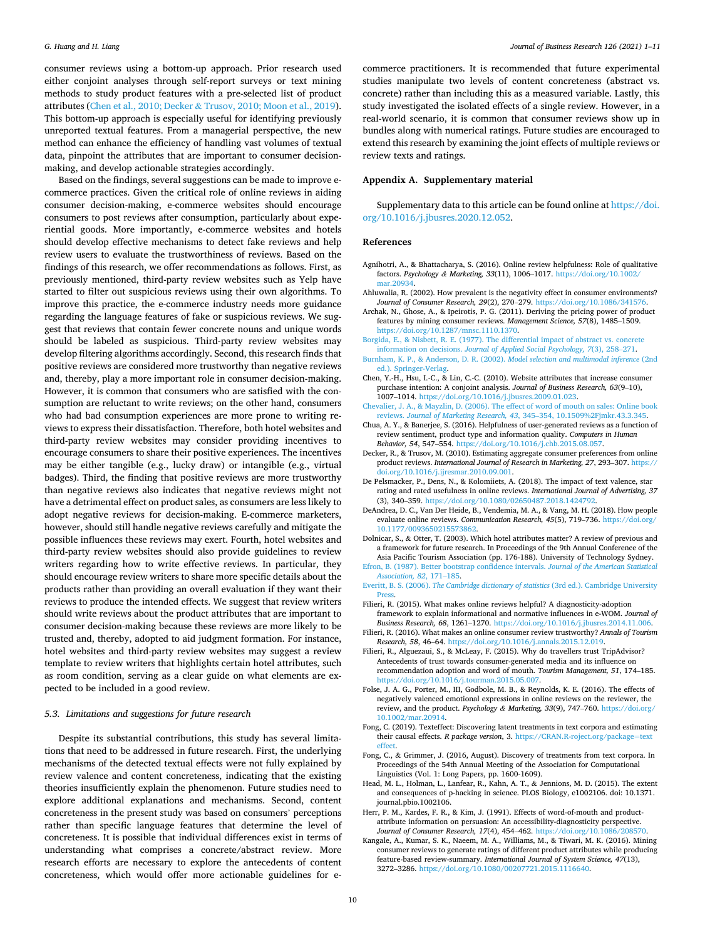<span id="page-9-0"></span>consumer reviews using a bottom-up approach. Prior research used either conjoint analyses through self-report surveys or text mining methods to study product features with a pre-selected list of product attributes (Chen et al., 2010; Decker & Trusov, 2010; Moon et al., 2019). This bottom-up approach is especially useful for identifying previously unreported textual features. From a managerial perspective, the new method can enhance the efficiency of handling vast volumes of textual data, pinpoint the attributes that are important to consumer decisionmaking, and develop actionable strategies accordingly.

Based on the findings, several suggestions can be made to improve ecommerce practices. Given the critical role of online reviews in aiding consumer decision-making, e-commerce websites should encourage consumers to post reviews after consumption, particularly about experiential goods. More importantly, e-commerce websites and hotels should develop effective mechanisms to detect fake reviews and help review users to evaluate the trustworthiness of reviews. Based on the findings of this research, we offer recommendations as follows. First, as previously mentioned, third-party review websites such as Yelp have started to filter out suspicious reviews using their own algorithms. To improve this practice, the e-commerce industry needs more guidance regarding the language features of fake or suspicious reviews. We suggest that reviews that contain fewer concrete nouns and unique words should be labeled as suspicious. Third-party review websites may develop filtering algorithms accordingly. Second, this research finds that positive reviews are considered more trustworthy than negative reviews and, thereby, play a more important role in consumer decision-making. However, it is common that consumers who are satisfied with the consumption are reluctant to write reviews; on the other hand, consumers who had bad consumption experiences are more prone to writing reviews to express their dissatisfaction. Therefore, both hotel websites and third-party review websites may consider providing incentives to encourage consumers to share their positive experiences. The incentives may be either tangible (e.g., lucky draw) or intangible (e.g., virtual badges). Third, the finding that positive reviews are more trustworthy than negative reviews also indicates that negative reviews might not have a detrimental effect on product sales, as consumers are less likely to adopt negative reviews for decision-making. E-commerce marketers, however, should still handle negative reviews carefully and mitigate the possible influences these reviews may exert. Fourth, hotel websites and third-party review websites should also provide guidelines to review writers regarding how to write effective reviews. In particular, they should encourage review writers to share more specific details about the products rather than providing an overall evaluation if they want their reviews to produce the intended effects. We suggest that review writers should write reviews about the product attributes that are important to consumer decision-making because these reviews are more likely to be trusted and, thereby, adopted to aid judgment formation. For instance, hotel websites and third-party review websites may suggest a review template to review writers that highlights certain hotel attributes, such as room condition, serving as a clear guide on what elements are expected to be included in a good review.

## *5.3. Limitations and suggestions for future research*

Despite its substantial contributions, this study has several limitations that need to be addressed in future research. First, the underlying mechanisms of the detected textual effects were not fully explained by review valence and content concreteness, indicating that the existing theories insufficiently explain the phenomenon. Future studies need to explore additional explanations and mechanisms. Second, content concreteness in the present study was based on consumers' perceptions rather than specific language features that determine the level of concreteness. It is possible that individual differences exist in terms of understanding what comprises a concrete/abstract review. More research efforts are necessary to explore the antecedents of content concreteness, which would offer more actionable guidelines for ecommerce practitioners. It is recommended that future experimental studies manipulate two levels of content concreteness (abstract vs. concrete) rather than including this as a measured variable. Lastly, this study investigated the isolated effects of a single review. However, in a real-world scenario, it is common that consumer reviews show up in bundles along with numerical ratings. Future studies are encouraged to extend this research by examining the joint effects of multiple reviews or review texts and ratings.

#### **Appendix A. Supplementary material**

Supplementary data to this article can be found online at [https://doi.](https://doi.org/10.1016/j.jbusres.2020.12.052)  [org/10.1016/j.jbusres.2020.12.052](https://doi.org/10.1016/j.jbusres.2020.12.052).

#### **References**

- Agnihotri, A., & Bhattacharya, S. (2016). Online review helpfulness: Role of qualitative factors. *Psychology & Marketing, 33*(11), 1006–1017. [https://doi.org/10.1002/](https://doi.org/10.1002/mar.20934) [mar.20934](https://doi.org/10.1002/mar.20934).
- Ahluwalia, R. (2002). How prevalent is the negativity effect in consumer environments? *Journal of Consumer Research, 29*(2), 270–279. <https://doi.org/10.1086/341576>.
- Archak, N., Ghose, A., & Ipeirotis, P. G. (2011). Deriving the pricing power of product features by mining consumer reviews. *Management Science, 57*(8), 1485–1509. <https://doi.org/10.1287/mnsc.1110.1370>.
- [Borgida, E., & Nisbett, R. E. \(1977\). The differential impact of abstract vs. concrete](http://refhub.elsevier.com/S0148-2963(20)30881-X/h0020)  information on decisions. *[Journal of Applied Social Psychology, 7](http://refhub.elsevier.com/S0148-2963(20)30881-X/h0020)*(3), 258–271.
- [Burnham, K. P., & Anderson, D. R. \(2002\).](http://refhub.elsevier.com/S0148-2963(20)30881-X/h0025) *Model selection and multimodal inference* (2nd [ed.\). Springer-Verlag.](http://refhub.elsevier.com/S0148-2963(20)30881-X/h0025)
- Chen, Y.-H., Hsu, I.-C., & Lin, C.-C. (2010). Website attributes that increase consumer purchase intention: A conjoint analysis. *Journal of Business Research, 63*(9–10), 1007–1014.<https://doi.org/10.1016/j.jbusres.2009.01.023>.
- [Chevalier, J. A., & Mayzlin, D. \(2006\). The effect of word of mouth on sales: Online book](http://refhub.elsevier.com/S0148-2963(20)30881-X/h0035)  reviews. *[Journal of Marketing Research, 43](http://refhub.elsevier.com/S0148-2963(20)30881-X/h0035)*, 345–354, 10.1509%2Fjmkr.43.3.345.
- Chua, A. Y., & Banerjee, S. (2016). Helpfulness of user-generated reviews as a function of review sentiment, product type and information quality. *Computers in Human Behavior, 54*, 547–554. [https://doi.org/10.1016/j.chb.2015.08.057.](https://doi.org/10.1016/j.chb.2015.08.057)
- Decker, R., & Trusov, M. (2010). Estimating aggregate consumer preferences from online product reviews. *International Journal of Research in Marketing, 27*, 293-307. https: [doi.org/10.1016/j.ijresmar.2010.09.001.](https://doi.org/10.1016/j.ijresmar.2010.09.001)
- De Pelsmacker, P., Dens, N., & Kolomiiets, A. (2018). The impact of text valence, star rating and rated usefulness in online reviews. *International Journal of Advertising, 37*  (3), 340–359.<https://doi.org/10.1080/02650487.2018.1424792>.
- DeAndrea, D. C., Van Der Heide, B., Vendemia, M. A., & Vang, M. H. (2018). How people evaluate online reviews. *Communication Research, 45*(5), 719–736. [https://doi.org/](https://doi.org/10.1177/0093650215573862)  [10.1177/0093650215573862](https://doi.org/10.1177/0093650215573862).
- Dolnicar, S., & Otter, T. (2003). Which hotel attributes matter? A review of previous and a framework for future research. In Proceedings of the 9th Annual Conference of the Asia Pacific Tourism Association (pp. 176-188). University of Technology Sydney.
- [Efron, B. \(1987\). Better bootstrap confidence intervals.](http://refhub.elsevier.com/S0148-2963(20)30881-X/h0065) *Journal of the American Statistical [Association, 82](http://refhub.elsevier.com/S0148-2963(20)30881-X/h0065)*, 171–185.
- Everitt, B. S. (2006). *[The Cambridge dictionary of statistics](http://refhub.elsevier.com/S0148-2963(20)30881-X/h0070)* (3rd ed.). Cambridge University [Press.](http://refhub.elsevier.com/S0148-2963(20)30881-X/h0070)
- Filieri, R. (2015). What makes online reviews helpful? A diagnosticity-adoption framework to explain informational and normative influences in e-WOM. *Journal of Business Research, 68*, 1261–1270.<https://doi.org/10.1016/j.jbusres.2014.11.006>.
- Filieri, R. (2016). What makes an online consumer review trustworthy? *Annals of Tourism Research, 58*, 46–64. [https://doi.org/10.1016/j.annals.2015.12.019.](https://doi.org/10.1016/j.annals.2015.12.019)
- Filieri, R., Alguezaui, S., & McLeay, F. (2015). Why do travellers trust TripAdvisor? Antecedents of trust towards consumer-generated media and its influence on recommendation adoption and word of mouth. *Tourism Management, 51*, 174–185. [https://doi.org/10.1016/j.tourman.2015.05.007.](https://doi.org/10.1016/j.tourman.2015.05.007)
- Folse, J. A. G., Porter, M., III, Godbole, M. B., & Reynolds, K. E. (2016). The effects of negatively valenced emotional expressions in online reviews on the reviewer, the review, and the product. *Psychology & Marketing, 33*(9), 747–760. [https://doi.org/](https://doi.org/10.1002/mar.20914)  [10.1002/mar.20914.](https://doi.org/10.1002/mar.20914)
- Fong, C. (2019). Texteffect: Discovering latent treatments in text corpora and estimating their causal effects. *R package version*, 3. [https://CRAN.R-roject.org/package](https://CRAN.R-roject.org/package%3dtexteffect)=text [effect](https://CRAN.R-roject.org/package%3dtexteffect).
- Fong, C., & Grimmer, J. (2016, August). Discovery of treatments from text corpora. In Proceedings of the 54th Annual Meeting of the Association for Computational Linguistics (Vol. 1: Long Papers, pp. 1600-1609).
- Head, M. L., Holman, L., Lanfear, R., Kahn, A. T., & Jennions, M. D. (2015). The extent and consequences of p-hacking in science. PLOS Biology, e1002106. doi: 10.1371. journal.pbio.1002106.
- Herr, P. M., Kardes, F. R., & Kim, J. (1991). Effects of word-of-mouth and productattribute information on persuasion: An accessibility-diagnosticity perspective. *Journal of Consumer Research, 17*(4), 454–462. <https://doi.org/10.1086/208570>.
- Kangale, A., Kumar, S. K., Naeem, M. A., Williams, M., & Tiwari, M. K. (2016). Mining consumer reviews to generate ratings of different product attributes while producing feature-based review-summary. *International Journal of System Science, 47*(13), 3272–3286. [https://doi.org/10.1080/00207721.2015.1116640.](https://doi.org/10.1080/00207721.2015.1116640)